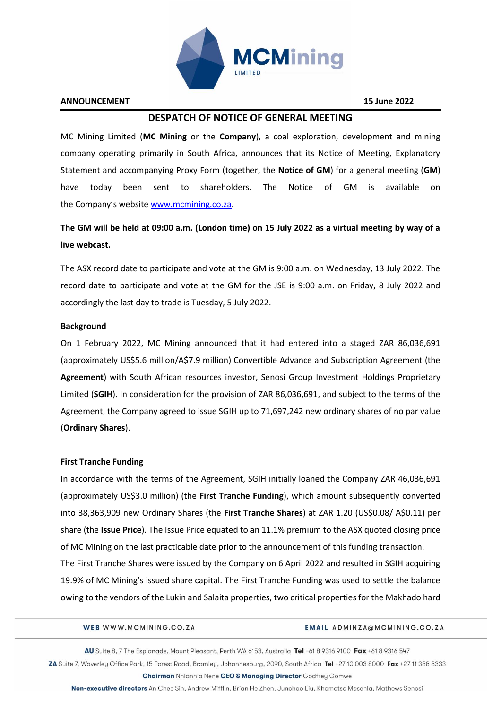

#### **ANNOUNCEMENT 15 June 2022**

## **DESPATCH OF NOTICE OF GENERAL MEETING**

MC Mining Limited (**MC Mining** or the **Company**), a coal exploration, development and mining company operating primarily in South Africa, announces that its Notice of Meeting, Explanatory Statement and accompanying Proxy Form (together, the **Notice of GM**) for a general meeting (**GM**) have today been sent to shareholders. The Notice of GM is available on the Company's website [www.mcmining.co.za.](http://www.mcmining.co.za/)

# **The GM will be held at 09:00 a.m. (London time) on 15 July 2022 as a virtual meeting by way of a live webcast.**

The ASX record date to participate and vote at the GM is 9:00 a.m. on Wednesday, 13 July 2022. The record date to participate and vote at the GM for the JSE is 9:00 a.m. on Friday, 8 July 2022 and accordingly the last day to trade is Tuesday, 5 July 2022.

#### **Background**

On 1 February 2022, MC Mining announced that it had entered into a staged ZAR 86,036,691 (approximately US\$5.6 million/A\$7.9 million) Convertible Advance and Subscription Agreement (the **Agreement**) with South African resources investor, Senosi Group Investment Holdings Proprietary Limited (**SGIH**). In consideration for the provision of ZAR 86,036,691, and subject to the terms of the Agreement, the Company agreed to issue SGIH up to 71,697,242 new ordinary shares of no par value (**Ordinary Shares**).

## **First Tranche Funding**

In accordance with the terms of the Agreement, SGIH initially loaned the Company ZAR 46,036,691 (approximately US\$3.0 million) (the **First Tranche Funding**), which amount subsequently converted into 38,363,909 new Ordinary Shares (the **First Tranche Shares**) at ZAR 1.20 (US\$0.08/ A\$0.11) per share (the **Issue Price**). The Issue Price equated to an 11.1% premium to the ASX quoted closing price of MC Mining on the last practicable date prior to the announcement of this funding transaction. The First Tranche Shares were issued by the Company on 6 April 2022 and resulted in SGIH acquiring 19.9% of MC Mining's issued share capital. The First Tranche Funding was used to settle the balance owing to the vendors of the Lukin and Salaita properties, two critical properties for the Makhado hard

#### WEB WWW.MCMINING.CO.ZA

#### EMAIL ADMINZA@MCMINING.CO.ZA

AU Suite 8, 7 The Esplanade, Mount Pleasant, Perth WA 6153, Australia Tel +61 8 9316 9100 Fax +61 8 9316 547 ZA Suite 7, Waverley Office Park, 15 Forest Road, Bramley, Johannesburg, 2090, South Africa Tel +27 10 003 8000 Fax +27 11 388 8333

Chairman Nhlanhla Nene CEO & Managing Director Godfrey Gomwe Non-executive directors An Chee Sin, Andrew Mifflin, Brian He Zhen, Junchao Liu, Khomotso Mosehla, Mathews Senosi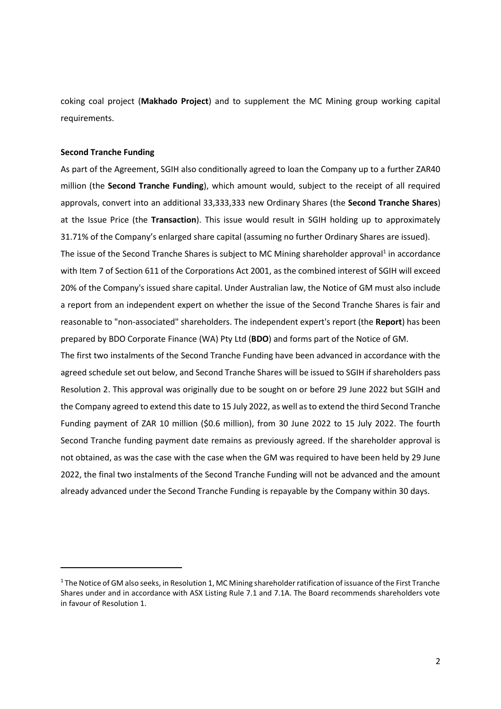coking coal project (**Makhado Project**) and to supplement the MC Mining group working capital requirements.

#### **Second Tranche Funding**

As part of the Agreement, SGIH also conditionally agreed to loan the Company up to a further ZAR40 million (the **Second Tranche Funding**), which amount would, subject to the receipt of all required approvals, convert into an additional 33,333,333 new Ordinary Shares (the **Second Tranche Shares**) at the Issue Price (the **Transaction**). This issue would result in SGIH holding up to approximately 31.71% of the Company's enlarged share capital (assuming no further Ordinary Shares are issued).

The issue of the Second Tranche Shares is subject to MC Mining shareholder approval<sup>1</sup> in accordance with Item 7 of Section 611 of the Corporations Act 2001, as the combined interest of SGIH will exceed 20% of the Company's issued share capital. Under Australian law, the Notice of GM must also include a report from an independent expert on whether the issue of the Second Tranche Shares is fair and reasonable to "non-associated" shareholders. The independent expert's report (the **Report**) has been prepared by BDO Corporate Finance (WA) Pty Ltd (**BDO**) and forms part of the Notice of GM.

The first two instalments of the Second Tranche Funding have been advanced in accordance with the agreed schedule set out below, and Second Tranche Shares will be issued to SGIH if shareholders pass Resolution 2. This approval was originally due to be sought on or before 29 June 2022 but SGIH and the Company agreed to extend this date to 15 July 2022, as well as to extend the third Second Tranche Funding payment of ZAR 10 million (\$0.6 million), from 30 June 2022 to 15 July 2022. The fourth Second Tranche funding payment date remains as previously agreed. If the shareholder approval is not obtained, as was the case with the case when the GM was required to have been held by 29 June 2022, the final two instalments of the Second Tranche Funding will not be advanced and the amount already advanced under the Second Tranche Funding is repayable by the Company within 30 days.

<sup>1</sup> The Notice of GM also seeks, in Resolution 1, MC Mining shareholder ratification of issuance of the First Tranche Shares under and in accordance with ASX Listing Rule 7.1 and 7.1A. The Board recommends shareholders vote in favour of Resolution 1.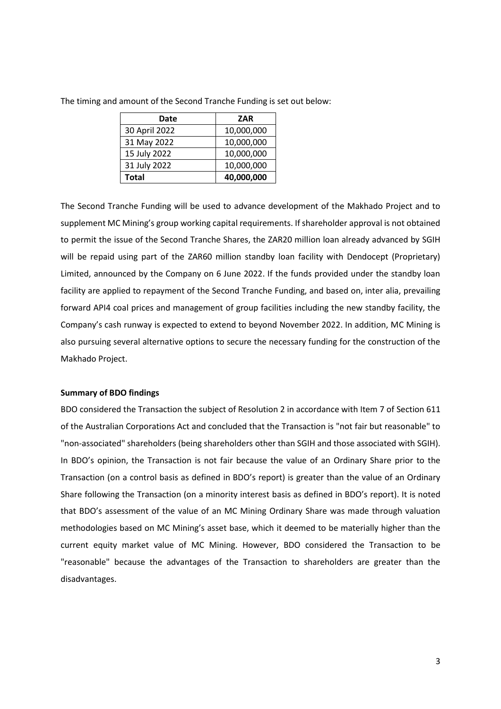| Date          | <b>ZAR</b> |
|---------------|------------|
| 30 April 2022 | 10,000,000 |
| 31 May 2022   | 10,000,000 |
| 15 July 2022  | 10,000,000 |
| 31 July 2022  | 10,000,000 |
| Total         | 40,000,000 |

The timing and amount of the Second Tranche Funding is set out below:

The Second Tranche Funding will be used to advance development of the Makhado Project and to supplement MC Mining's group working capital requirements. If shareholder approval is not obtained to permit the issue of the Second Tranche Shares, the ZAR20 million loan already advanced by SGIH will be repaid using part of the ZAR60 million standby loan facility with Dendocept (Proprietary) Limited, announced by the Company on 6 June 2022. If the funds provided under the standby loan facility are applied to repayment of the Second Tranche Funding, and based on, inter alia, prevailing forward API4 coal prices and management of group facilities including the new standby facility, the Company's cash runway is expected to extend to beyond November 2022. In addition, MC Mining is also pursuing several alternative options to secure the necessary funding for the construction of the Makhado Project.

#### **Summary of BDO findings**

BDO considered the Transaction the subject of Resolution 2 in accordance with Item 7 of Section 611 of the Australian Corporations Act and concluded that the Transaction is "not fair but reasonable" to "non-associated" shareholders (being shareholders other than SGIH and those associated with SGIH). In BDO's opinion, the Transaction is not fair because the value of an Ordinary Share prior to the Transaction (on a control basis as defined in BDO's report) is greater than the value of an Ordinary Share following the Transaction (on a minority interest basis as defined in BDO's report). It is noted that BDO's assessment of the value of an MC Mining Ordinary Share was made through valuation methodologies based on MC Mining's asset base, which it deemed to be materially higher than the current equity market value of MC Mining. However, BDO considered the Transaction to be "reasonable" because the advantages of the Transaction to shareholders are greater than the disadvantages.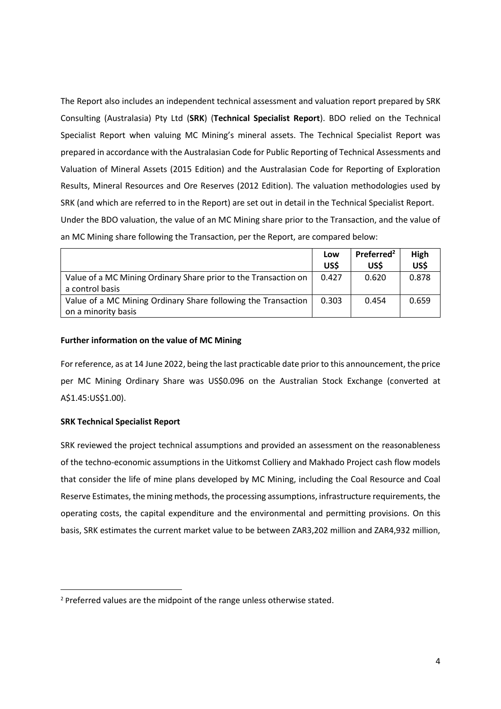The Report also includes an independent technical assessment and valuation report prepared by SRK Consulting (Australasia) Pty Ltd (**SRK**) (**Technical Specialist Report**). BDO relied on the Technical Specialist Report when valuing MC Mining's mineral assets. The Technical Specialist Report was prepared in accordance with the Australasian Code for Public Reporting of Technical Assessments and Valuation of Mineral Assets (2015 Edition) and the Australasian Code for Reporting of Exploration Results, Mineral Resources and Ore Reserves (2012 Edition). The valuation methodologies used by SRK (and which are referred to in the Report) are set out in detail in the Technical Specialist Report. Under the BDO valuation, the value of an MC Mining share prior to the Transaction, and the value of an MC Mining share following the Transaction, per the Report, are compared below:

|                                                                 | Low   | Preferred <sup>2</sup> | High  |
|-----------------------------------------------------------------|-------|------------------------|-------|
|                                                                 | US\$  | US\$                   | US\$  |
| Value of a MC Mining Ordinary Share prior to the Transaction on | 0.427 | 0.620                  | 0.878 |
| a control basis                                                 |       |                        |       |
| Value of a MC Mining Ordinary Share following the Transaction   | 0.303 | 0.454                  | 0.659 |
| on a minority basis                                             |       |                        |       |

## **Further information on the value of MC Mining**

For reference, as at 14 June 2022, being the last practicable date prior to this announcement, the price per MC Mining Ordinary Share was US\$0.096 on the Australian Stock Exchange (converted at A\$1.45:US\$1.00).

#### **SRK Technical Specialist Report**

SRK reviewed the project technical assumptions and provided an assessment on the reasonableness of the techno-economic assumptions in the Uitkomst Colliery and Makhado Project cash flow models that consider the life of mine plans developed by MC Mining, including the Coal Resource and Coal Reserve Estimates, the mining methods, the processing assumptions, infrastructure requirements, the operating costs, the capital expenditure and the environmental and permitting provisions. On this basis, SRK estimates the current market value to be between ZAR3,202 million and ZAR4,932 million,

<sup>&</sup>lt;sup>2</sup> Preferred values are the midpoint of the range unless otherwise stated.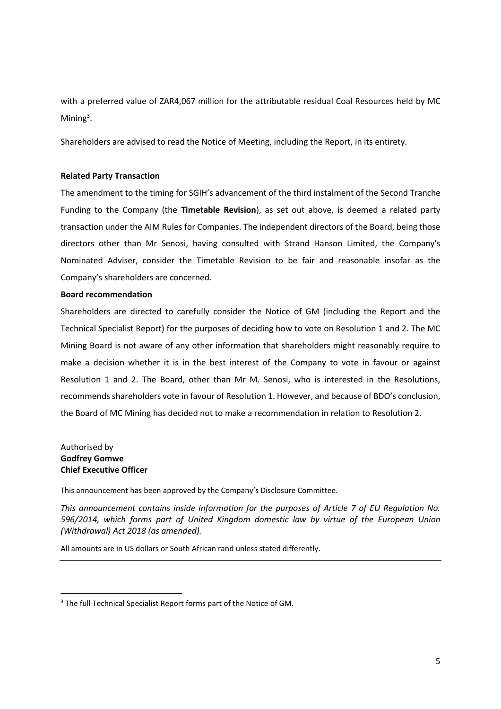with a preferred value of ZAR4,067 million for the attributable residual Coal Resources held by MC Mining<sup>3</sup>.

Shareholders are advised to read the Notice of Meeting, including the Report, in its entirety.

## **Related Party Transaction**

The amendment to the timing for SGIH's advancement of the third instalment of the Second Tranche Funding to the Company (the **Timetable Revision**), as set out above, is deemed a related party transaction under the AIM Rules for Companies. The independent directors of the Board, being those directors other than Mr Senosi, having consulted with Strand Hanson Limited, the Company's Nominated Adviser, consider the Timetable Revision to be fair and reasonable insofar as the Company's shareholders are concerned.

#### **Board recommendation**

Shareholders are directed to carefully consider the Notice of GM (including the Report and the Technical Specialist Report) for the purposes of deciding how to vote on Resolution 1 and 2. The MC Mining Board is not aware of any other information that shareholders might reasonably require to make a decision whether it is in the best interest of the Company to vote in favour or against Resolution 1 and 2. The Board, other than Mr M. Senosi, who is interested in the Resolutions, recommends shareholders vote in favour of Resolution 1. However, and because of BDO's conclusion, the Board of MC Mining has decided not to make a recommendation in relation to Resolution 2.

Authorised by **Godfrey Gomwe Chief Executive Officer**

This announcement has been approved by the Company's Disclosure Committee.

*This announcement contains inside information for the purposes of Article 7 of EU Regulation No. 596/2014, which forms part of United Kingdom domestic law by virtue of the European Union (Withdrawal) Act 2018 (as amended).*

All amounts are in US dollars or South African rand unless stated differently.

<sup>&</sup>lt;sup>3</sup> The full Technical Specialist Report forms part of the Notice of GM.